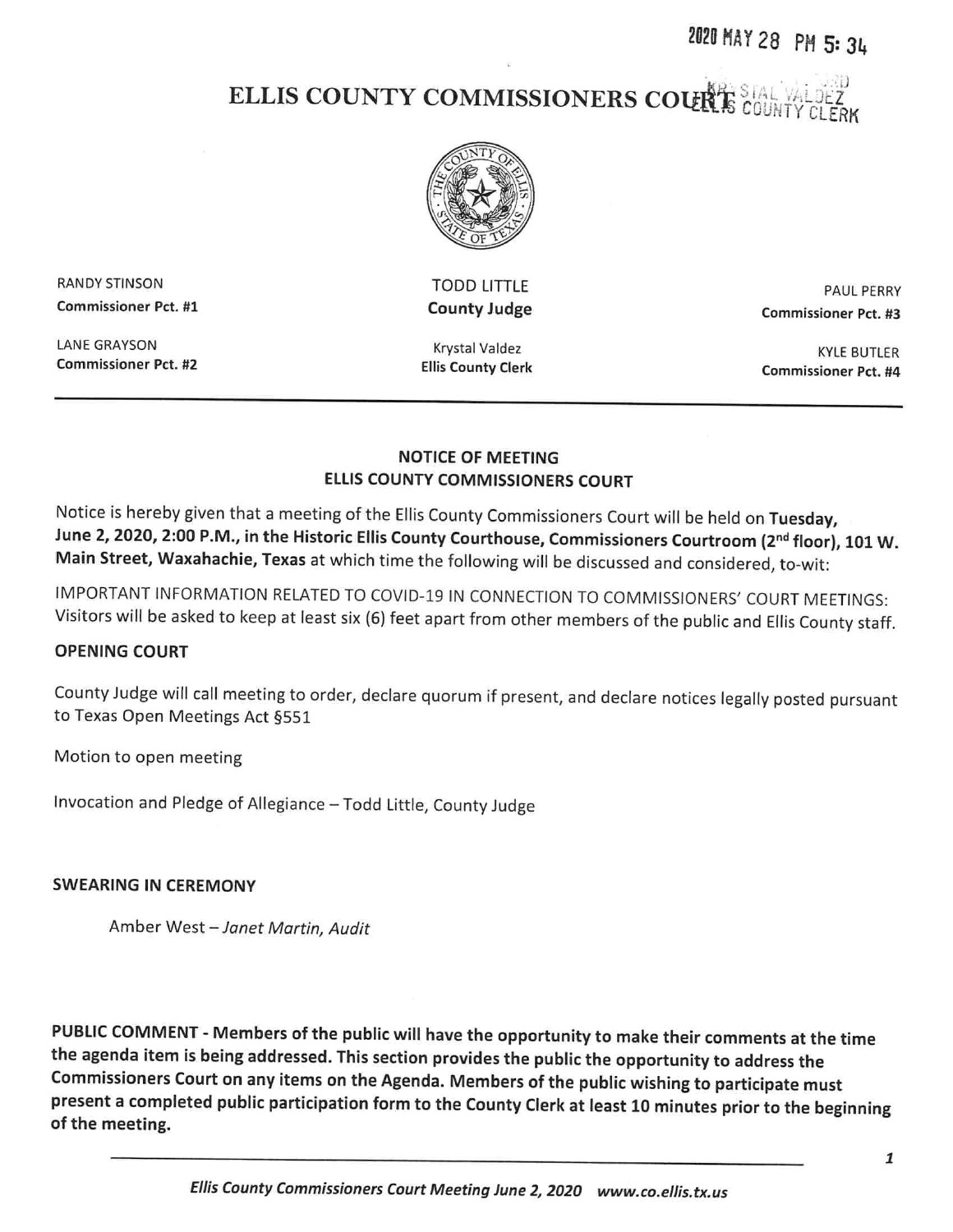# 202D HAY <sup>28</sup> PH 5: <sup>31</sup>

# ELLIS COUNTY COMMISSIONERS COUR



RANDY STINSON Commissioner Pct. #1

LANE GRAYSON Commissioner Pct. #2

TODD LITTLE County Judge

Krystal Valdez Ellis County Clerk

PAUL PERRY Commissioner Pct. #3

KYLE BUTLER Commissioner Pct. #4

#### NOTICE OF MEETING ELLIS COUNTY COMMISSIONERS COURT

Notice is hereby <sup>g</sup>iven that <sup>a</sup> meeting of the Ellis County Commissioners Court will be held on Tuesday, June 2, 2020, 2:00 P.M., in the Historic Ellis County Courthouse, Commissioners Courtroom (2<sup>nd</sup> floor), 101 W. Main Street, Waxahachie, Texas at which time the following will be discussed and considered, to-wit:

IMPORTANT INFORMATION RELATED TO COVID-19 IN CONNECTION TO COMMISSIONERS' COURT MEETINGS: Visitors will be asked to keep at least six (6) feet apart from other members of the public and Ellis County staff.

#### OPENING COURT

County Judge will call meeting to order, declare quorum if present, and declare notices legally posted pursuant to Texas Open Meetings Act §551

Motion to open meeting

Invocation and Pledge of Allegiance —Todd Little, County Judge

#### SWEARING IN CEREMONY

Amber West —Janet Martin, Audit

PUBLIC COMMENT - Members of the public will have the opportunity to make their comments at the time the agenda item is being addressed. This section provides the public the opportunity to address the Commissioners Court on any items on the Agenda. Members of the public wishing to participate must present <sup>a</sup> completed public participation form to the County Clerk at least <sup>10</sup> minutes prior to the beginning of the meeting.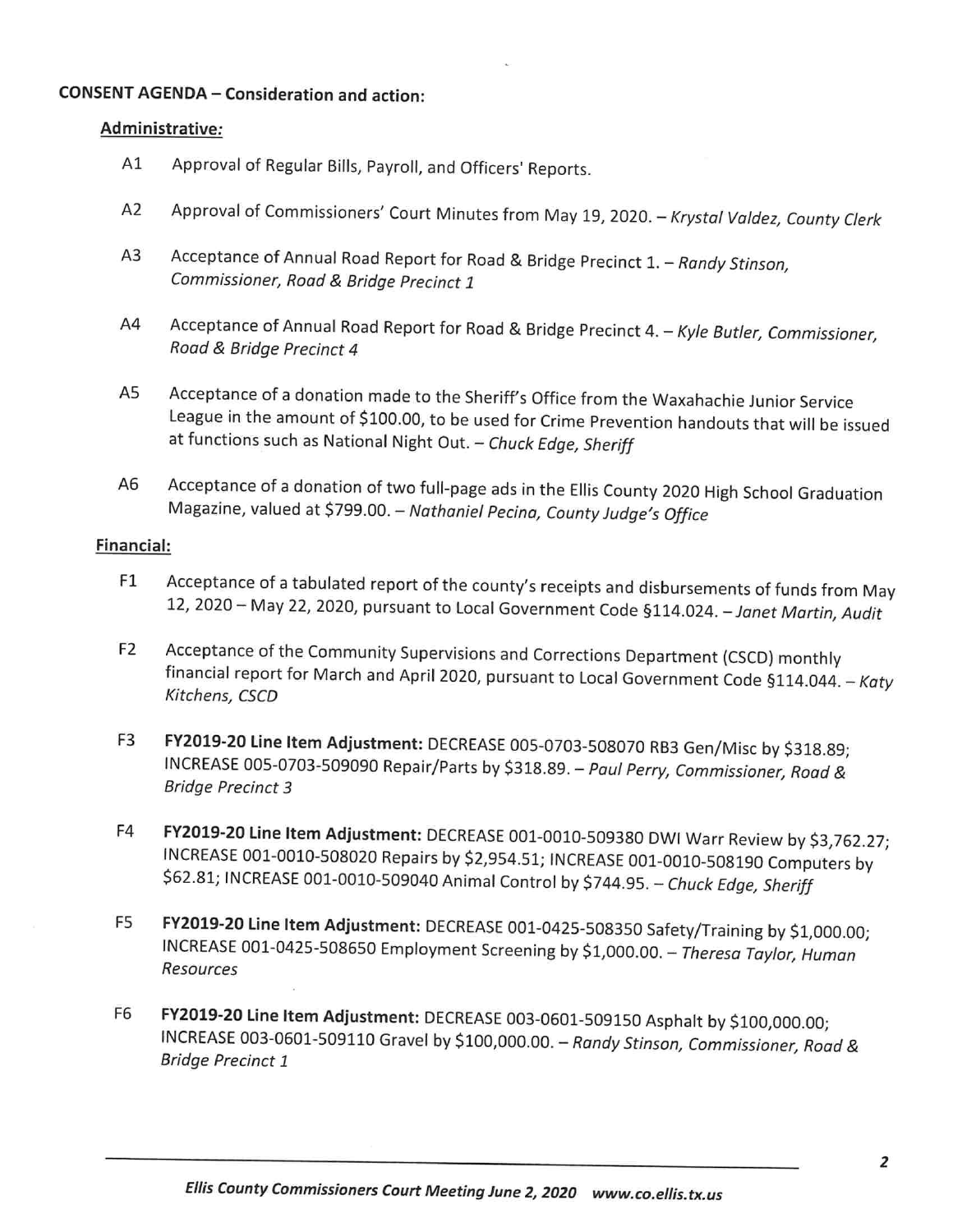### CONSENT AGENDA — Consideration and action:

#### Administrative:

- Al Approval of Regular Bills, Payroll, and Officers' Reports.
- A2 Approval of Commissioners' Court Minutes from May 19, 2020. Krystal Valdez, County Clerk
- A3 Acceptance of Annual Road Report for Road & Bridge Precinct 1. Randy Stinson, Commissioner, Road & Bridge Precinct <sup>1</sup>
- A4 Acceptance of Annual Road Report for Road & Bridge Precinct 4. Kyle Butler, Commissioner, Road & Bridge Precinct <sup>4</sup>
- AS Acceptance of <sup>a</sup> donation made to the Sheriff's Office from the Waxahachie Junior Service League in the amount of \$100.00, to be used for Crime Prevention handouts that will be issued at functions such as National Night Out. - Chuck Edge, Sheriff
- A6 Acceptance of <sup>a</sup> donation of two full-page ads in the Ellis County <sup>2020</sup> High School Graduation Magazine, valued at \$799.00. - Nathaniel Pecina, County Judge's Office

#### Financial:

- El Acceptance of <sup>a</sup> tabulated report of the county's receipts and disbursements of funds from May 12, 2020— May 22, 2020, pursuant to Local Government Code §114.024.—Janet Martin, Audit
- E2 Acceptance of the Community Supervisions and Corrections Department (CSCD) monthly financial report for March and April 2020, pursuant to Local Government Code §114.044. - Katy Kitchens, CSCD
- F3 FY2019-20 Line Item Adjustment: DECREASE 005-0703-508070 RB3 Gen/Misc by \$318.89; INCREASE 005-0703-509090 Repair/Parts by \$318.89. — Paul Perry, Commissioner, Road & Bridge Precinct 3
- E4 FY2019-20 Line Item Adjustment: DECREASE 001-0010-509380 DWI Warr Review by \$3,762.27; INCREASE 001-0010-508020 Repairs by \$2,954.51; INCREASE 001-0010-508190 Computers by \$62.81; INCREASE 001-0010-509040 Animal Control by \$744.95. - Chuck Edge, Sheriff
- F5 FY2019-20 Line Item Adjustment: DECREASE 001-0425-508350 Safety/Training by \$1,000.00; INCREASE 001-0425-508650 Employment Screening by \$1,000.00. — Theresa Taylor, Human Resources
- E6 FYZO19-20 Line Item Adjustment: DECREASE 003-0601-509150 Asphalt by \$100,000.00; INCREASE 003-0601-509110 Gravel by \$100,000.00.— Randy Stinson, Commissioner, Road & Bridge Precinct I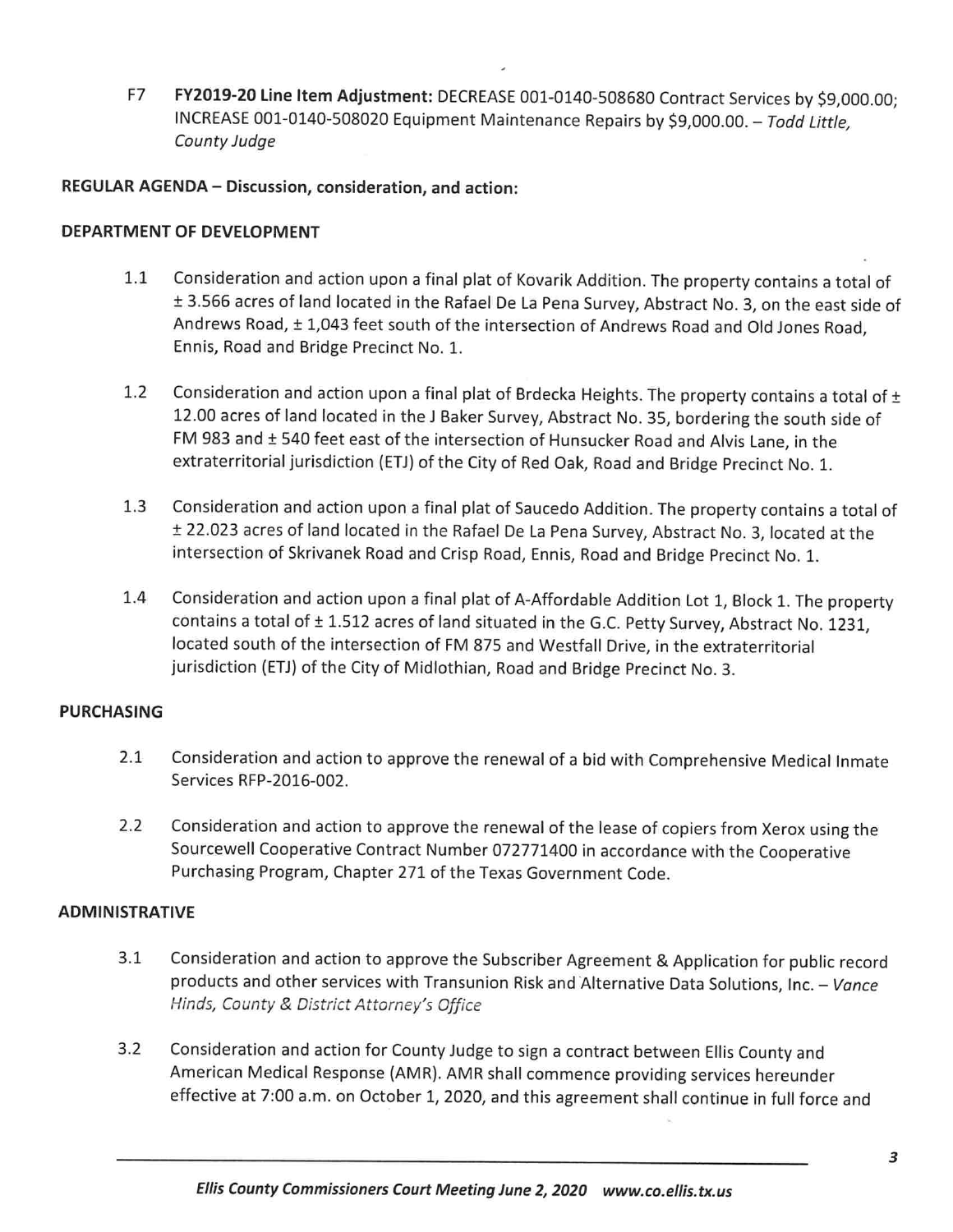F7 FY2019-20 Line Item Adjustment: DECREASE 001-0140-508680 Contract Services by \$9,000.00; INCREASE 001-0140-508020 Equipment Maintenance Repairs by \$9,000.00.— Todd Little, County Judge

#### REGULAR AGENDA — Discussion, consideration, and action:

#### DEPARTMENT OF DEVELOPMENT

- 1.1 Consideration and action upon <sup>a</sup> final <sup>p</sup>lat of Kovarik Addition. The property contains <sup>a</sup> total of <sup>±</sup> 3.566 acres of land located in the Rafael De La Pena Survey, Abstract No. 3, on the east side of Andrews Road, <sup>±</sup> 1,043 feet south of the intersection of Andrews Road and Old Jones Road, Ennis, Road and Bridge Precinct No. 1.
- 1.2 Consideration and action upon a final plat of Brdecka Heights. The property contains a total of  $\pm$ 12.00 acres of land located in the J Baker Survey, Abstract No. 35, bordering the south side of FM <sup>983</sup> and <sup>±</sup> <sup>540</sup> feet east of the intersection of Hunsucker Road and Alvis Lane, in the extraterritorial jurisdiction (ETJ) of the City of Red Oak, Road and Bridge Precinct No. 1.
- 1.3 Consideration and action upon <sup>a</sup> final <sup>p</sup>lat of Saucedo Addition. The property contains <sup>a</sup> total of <sup>±</sup> 22.023 acres of land located in the Rafael De La Pena Survey, Abstract No. 3, located at the intersection of Skrivanek Road and Crisp Road, Ennis, Road and Bridge Precinct No. 1.
- 1.4 Consideration and action upon <sup>a</sup> final <sup>p</sup>lat of A-Affordable Addition Lot 1, Block 1. The property contains a total of  $\pm$  1.512 acres of land situated in the G.C. Petty Survey, Abstract No. 1231, located south of the intersection of FM 875 and Westfall Drive, in the extraterritorial jurisdiction (ETJ) of the City of Midlothian, Road and Bridge Precinct No. 3.

#### PURCHASING

- 2.1 Consideration and action to approve the renewal of <sup>a</sup> bid with Comprehensive Medical Inmate Services RFP-2016-002.
- 2.2 Consideration and action to approve the renewal of the lease of copiers from Xerox using the Sourcewell Cooperative Contract Number <sup>072771400</sup> in accordance with the Cooperative Purchasing Program, Chapter 271 of the Texas Government Code.

#### ADMINISTRATIVE

- 3.1 Consideration and action to approve the Subscriber Agreement & Application for public record products and other services with Transunion Risk and Alternative Data Solutions, Inc. - Vance products and other services with rransur<br>Hinds, County & District Attorney's Office
- 3.2 Consideration and action for County Judge to sign <sup>a</sup> contract between Ellis County and American Medical Response (AMR). AMR shall commence providing services hereunder effective at 7:00 a.m. on October 1, 2020, and this agreement shall continue in full force and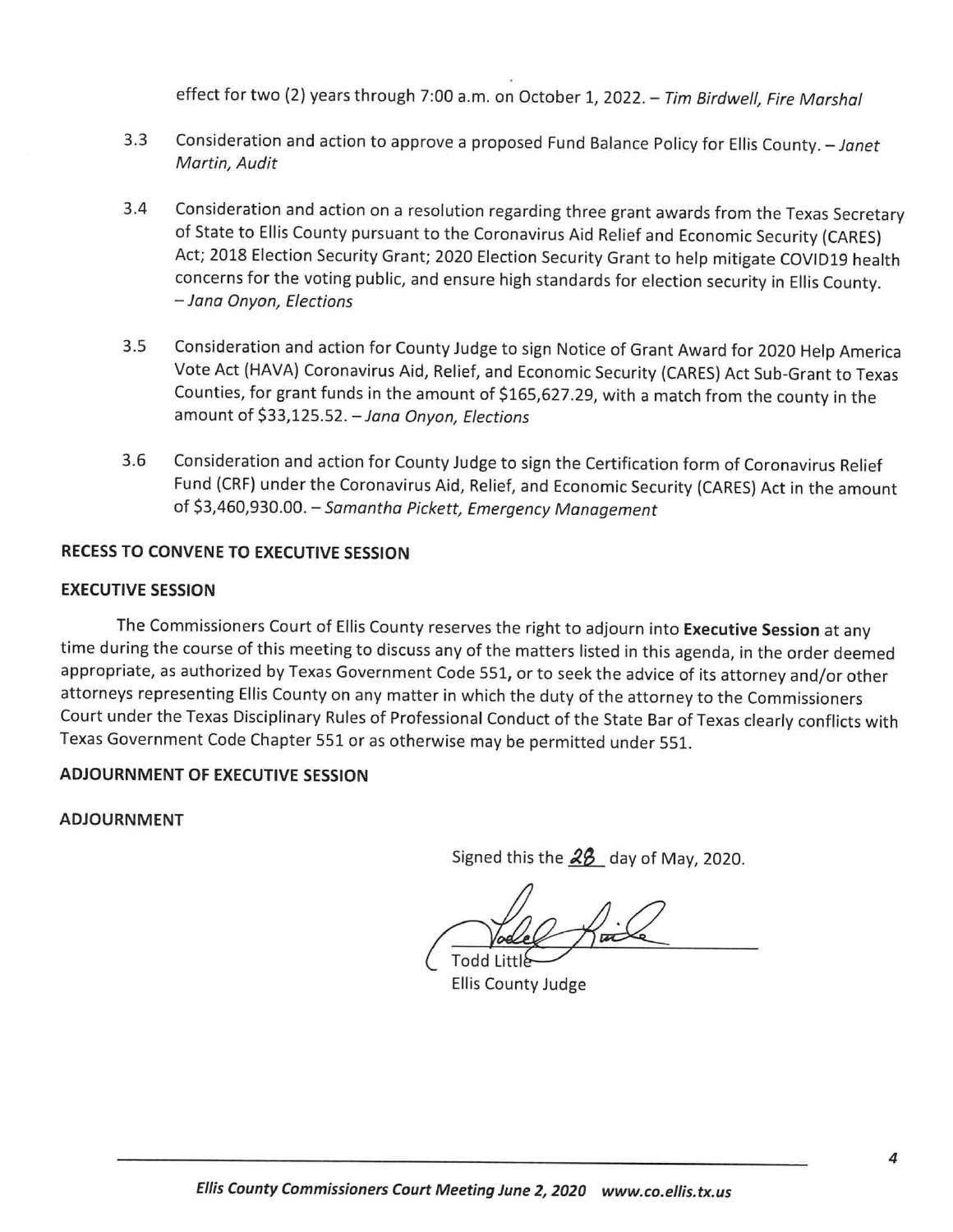effect for two (2) years through 7:00 a.m. on October 1, 2022. - Tim Birdwell, Fire Marshal

- 3.3 Consideration and action to approve a proposed Fund Balance Policy for Ellis County. Janet Martin, Audit
- 3.4 Consideration and action on <sup>a</sup> resolution regarding three grant awards from the Texas Secretary of State to Ellis County pursuant to the Coronavirus Aid Relief and Economic Security (CARES) Act; <sup>2018</sup> Election Security Grant; <sup>2020</sup> Election Security Grant to help mitigate COVID19 health concerns for the voting public, and ensure high standards for election security in Ellis County. — Jana Onyon, Elections
- 3.5 Consideration and action for County Judge to sign Notice of Grant Award for <sup>2020</sup> Help America Vote Act (HAVA) Coronavirus Aid, Relief, and Economic Security (CARES) Act Sub-Grant to Texas Counties, for grant funds in the amount of \$165,627.29, with <sup>a</sup> match from the county in the amount of \$33,125.52. - Jana Onyon, Elections
- 3.6 Consideration and action for County Judge to sign the Certification form of Coronavirus Relief Fund (CRF) under the Coronavirus Aid, Relief, and Economic Security (CARES) Act in the amount of \$3,460,930.00. - Samantha Pickett, Emergency Management

## RECESS TO CONVENE TO EXECUTIVE SESSION

#### EXECUTIVE SESSION

The Commissioners Court of Ellis County reserves the right to adjourn into Executive Session at any time during the course of this meeting to discuss any of the matters listed in this agenda, in the order deemed appropriate, as authorized by Texas Government Code 551, or to seek the advice of its attorney and/or other attorneys representing Ellis County on any matter in which the duty of the attorney to the Commissioners Court under the Texas Disciplinary Rules of Professional Conduct of the State Bar of Texas clearly conflicts with Texas Government Code Chapter <sup>551</sup> or as otherwise may be permitted under 551.

# ADJOURNMENT OF EXECUTIVE SESSION

ADJOURNMENT

Signed this the  $28$  day of May, 2020.

Todd Littl\$—'

Ellis County Judge